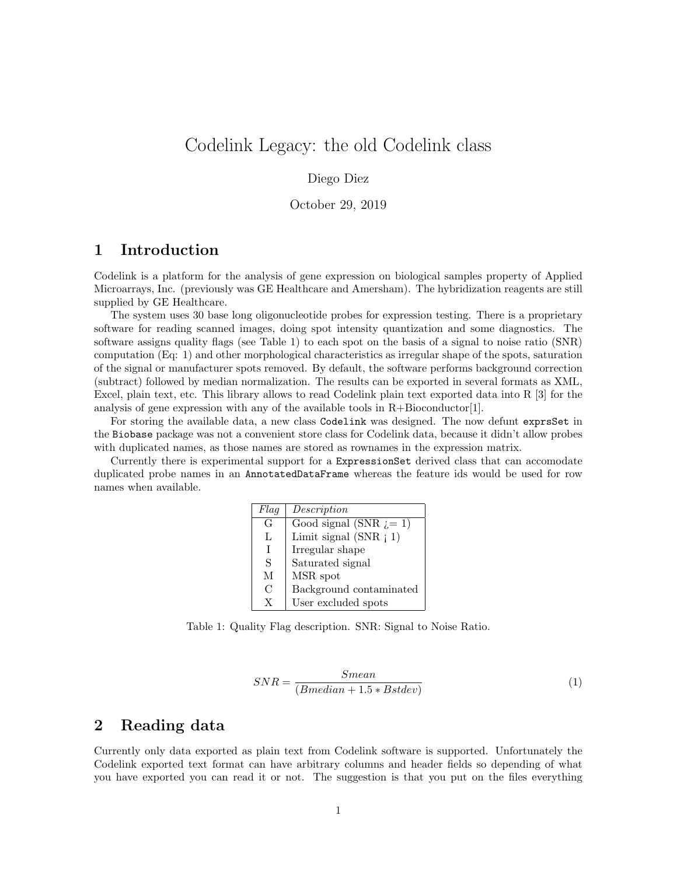# Codelink Legacy: the old Codelink class

#### Diego Diez

October 29, 2019

### 1 Introduction

Codelink is a platform for the analysis of gene expression on biological samples property of Applied Microarrays, Inc. (previously was GE Healthcare and Amersham). The hybridization reagents are still supplied by GE Healthcare.

The system uses 30 base long oligonucleotide probes for expression testing. There is a proprietary software for reading scanned images, doing spot intensity quantization and some diagnostics. The software assigns quality flags (see Table 1) to each spot on the basis of a signal to noise ratio (SNR) computation (Eq: 1) and other morphological characteristics as irregular shape of the spots, saturation of the signal or manufacturer spots removed. By default, the software performs background correction (subtract) followed by median normalization. The results can be exported in several formats as XML, Excel, plain text, etc. This library allows to read Codelink plain text exported data into R [3] for the analysis of gene expression with any of the available tools in  $R+\text{Bioconductor}[1]$ .

For storing the available data, a new class Codelink was designed. The now defunt exprsSet in the Biobase package was not a convenient store class for Codelink data, because it didn't allow probes with duplicated names, as those names are stored as rownames in the expression matrix.

Currently there is experimental support for a ExpressionSet derived class that can accomodate duplicated probe names in an AnnotatedDataFrame whereas the feature ids would be used for row names when available.

| Flag | Description              |
|------|--------------------------|
| G    | Good signal (SNR $i=1$ ) |
| L    | Limit signal $(SNR \t1)$ |
| Τ    | Irregular shape          |
| S    | Saturated signal         |
| М    | MSR spot                 |
| C    | Background contaminated  |
| Y    | User excluded spots      |

Table 1: Quality Flag description. SNR: Signal to Noise Ratio.

$$
SNR = \frac{Smean}{(Bmedian + 1.5 * Bstdev)}\tag{1}
$$

#### 2 Reading data

Currently only data exported as plain text from Codelink software is supported. Unfortunately the Codelink exported text format can have arbitrary columns and header fields so depending of what you have exported you can read it or not. The suggestion is that you put on the files everything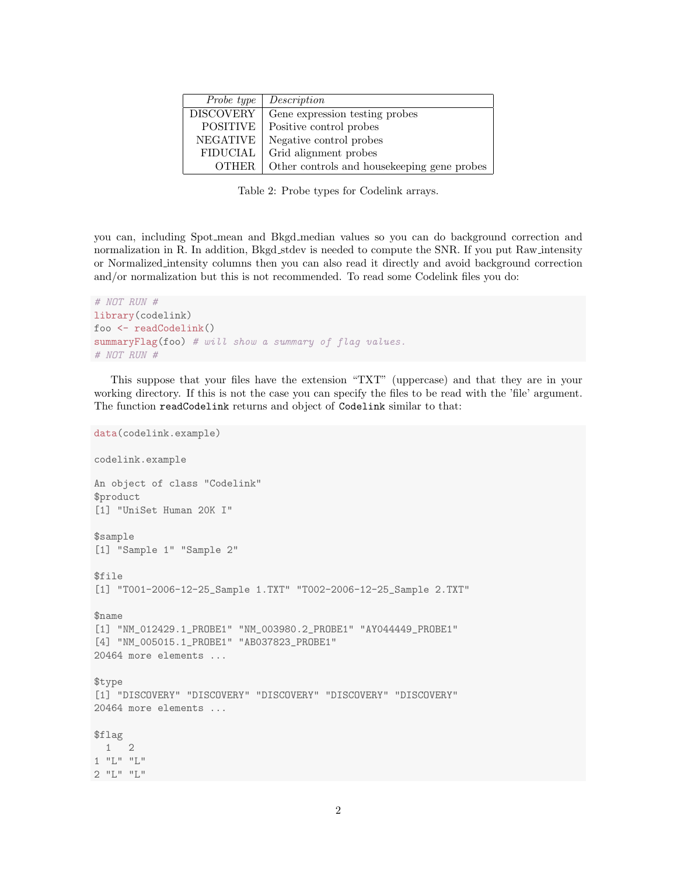| Probe type       | Description                                  |
|------------------|----------------------------------------------|
| <b>DISCOVERY</b> | Gene expression testing probes               |
| <b>POSITIVE</b>  | Positive control probes                      |
| <b>NEGATIVE</b>  | Negative control probes                      |
| <b>FIDUCIAL</b>  | Grid alignment probes                        |
| <b>OTHER</b>     | Other controls and house keeping gene probes |

Table 2: Probe types for Codelink arrays.

you can, including Spot mean and Bkgd median values so you can do background correction and normalization in R. In addition, Bkgd stdev is needed to compute the SNR. If you put Raw intensity or Normalized intensity columns then you can also read it directly and avoid background correction and/or normalization but this is not recommended. To read some Codelink files you do:

```
# NOT RUN #
library(codelink)
foo <- readCodelink()
summaryFlag(foo) # will show a summary of flag values.
# NOT RUN #
```
This suppose that your files have the extension "TXT" (uppercase) and that they are in your working directory. If this is not the case you can specify the files to be read with the 'file' argument. The function readCodelink returns and object of Codelink similar to that:

```
data(codelink.example)
codelink.example
An object of class "Codelink"
$product
[1] "UniSet Human 20K I"
$sample
[1] "Sample 1" "Sample 2"
$file
[1] "T001-2006-12-25_Sample 1.TXT" "T002-2006-12-25_Sample 2.TXT"
$name
[1] "NM_012429.1_PROBE1" "NM_003980.2_PROBE1" "AY044449_PROBE1"
[4] "NM_005015.1_PROBE1" "AB037823_PROBE1"
20464 more elements ...
$type
[1] "DISCOVERY" "DISCOVERY" "DISCOVERY" "DISCOVERY" "DISCOVERY"
20464 more elements ...
$flag
1 2
1 "L" "L"
2 "L" "L"
```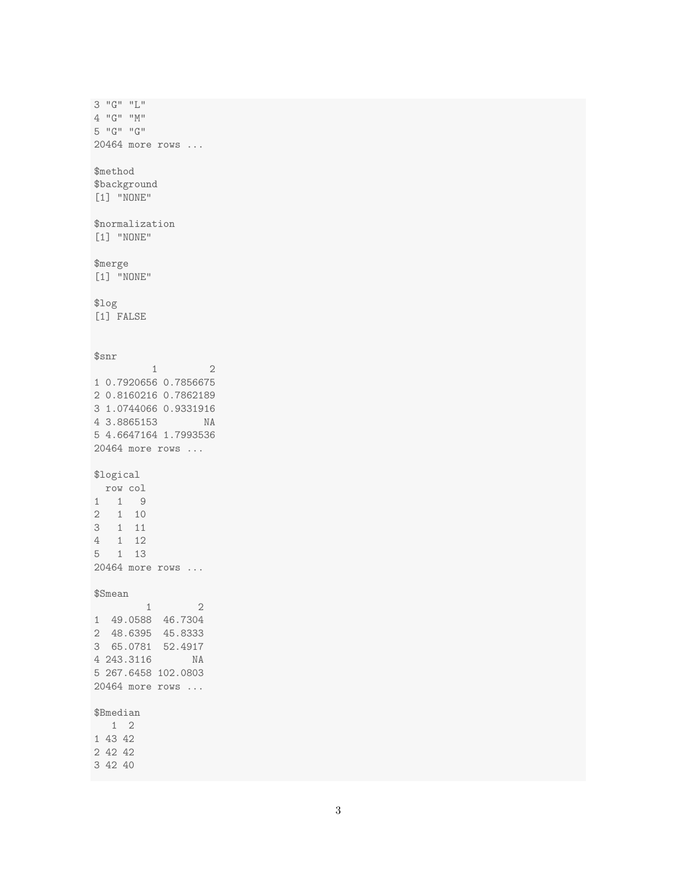3 "G" "L" 4 "G" "M" 5 "G" "G" 20464 more rows ... \$method \$background [1] "NONE" \$normalization [1] "NONE" \$merge [1] "NONE" \$log [1] FALSE \$snr 1 2 1 0.7920656 0.7856675 2 0.8160216 0.7862189 3 1.0744066 0.9331916 4 3.8865153 NA 5 4.6647164 1.7993536 20464 more rows ... \$logical row col 1 1 9 2 1 10 3 1 11 4 1 12 5 1 13 20464 more rows ... \$Smean  $$3mean$  1 2 1 49.0588 46.7304 2 48.6395 45.8333 3 65.0781 52.4917 4 243.3116 NA 5 267.6458 102.0803 20464 more rows ... \$Bmedian 1 2 1 43 42 2 42 42 3 42 40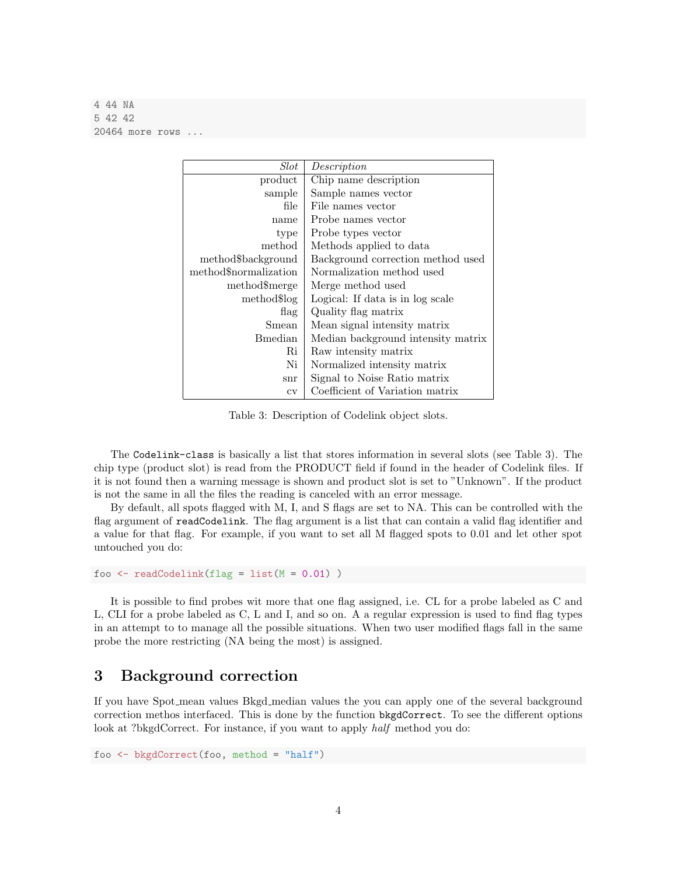4 44 NA 5 42 42 20464 more rows .

| $_{Slot}$             | Description                        |
|-----------------------|------------------------------------|
| product               | Chip name description              |
| sample                | Sample names vector                |
| file                  | File names vector                  |
| name                  | Probe names vector                 |
| type                  | Probe types vector                 |
| method                | Methods applied to data            |
| method\$background    | Background correction method used  |
| method\$normalization | Normalization method used          |
| method\$merge         | Merge method used                  |
| method\$log           | Logical: If data is in log scale   |
| flag                  | Quality flag matrix                |
| Smean                 | Mean signal intensity matrix       |
| <b>B</b> median       | Median background intensity matrix |
| Ri                    | Raw intensity matrix               |
| Ni                    | Normalized intensity matrix        |
| snr                   | Signal to Noise Ratio matrix       |
| $\rm{cv}$             | Coefficient of Variation matrix    |

Table 3: Description of Codelink object slots.

The Codelink-class is basically a list that stores information in several slots (see Table 3). The chip type (product slot) is read from the PRODUCT field if found in the header of Codelink files. If it is not found then a warning message is shown and product slot is set to "Unknown". If the product is not the same in all the files the reading is canceled with an error message.

By default, all spots flagged with M, I, and S flags are set to NA. This can be controlled with the flag argument of readCodelink. The flag argument is a list that can contain a valid flag identifier and a value for that flag. For example, if you want to set all M flagged spots to 0.01 and let other spot untouched you do:

foo  $\le$  readCodelink(flag = list(M = 0.01))

It is possible to find probes wit more that one flag assigned, i.e. CL for a probe labeled as C and L, CLI for a probe labeled as C, L and I, and so on. A a regular expression is used to find flag types in an attempt to to manage all the possible situations. When two user modified flags fall in the same probe the more restricting (NA being the most) is assigned.

#### 3 Background correction

If you have Spot mean values Bkgd median values the you can apply one of the several background correction methos interfaced. This is done by the function bkgdCorrect. To see the different options look at ?bkgdCorrect. For instance, if you want to apply half method you do:

```
foo <- bkgdCorrect(foo, method = "half")
```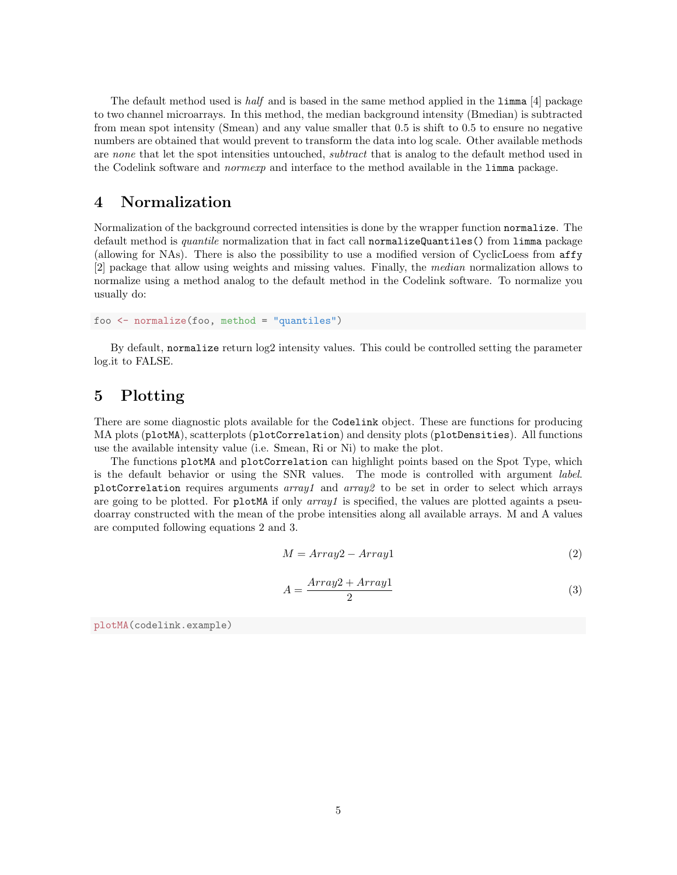The default method used is half and is based in the same method applied in the limma [4] package to two channel microarrays. In this method, the median background intensity (Bmedian) is subtracted from mean spot intensity (Smean) and any value smaller that 0.5 is shift to 0.5 to ensure no negative numbers are obtained that would prevent to transform the data into log scale. Other available methods are none that let the spot intensities untouched, *subtract* that is analog to the default method used in the Codelink software and normexp and interface to the method available in the limma package.

## 4 Normalization

Normalization of the background corrected intensities is done by the wrapper function normalize. The default method is *quantile* normalization that in fact call normalizeQuantiles() from limma package (allowing for NAs). There is also the possibility to use a modified version of CyclicLoess from affy [2] package that allow using weights and missing values. Finally, the median normalization allows to normalize using a method analog to the default method in the Codelink software. To normalize you usually do:

```
foo <- normalize(foo, method = "quantiles")
```
By default, normalize return log2 intensity values. This could be controlled setting the parameter log.it to FALSE.

# 5 Plotting

There are some diagnostic plots available for the Codelink object. These are functions for producing MA plots (plotMA), scatterplots (plotCorrelation) and density plots (plotDensities). All functions use the available intensity value (i.e. Smean, Ri or Ni) to make the plot.

The functions plotMA and plotCorrelation can highlight points based on the Spot Type, which is the default behavior or using the SNR values. The mode is controlled with argument label. plotCorrelation requires arguments  $array1$  and  $array2$  to be set in order to select which arrays are going to be plotted. For plotMA if only  $array1$  is specified, the values are plotted againts a pseudoarray constructed with the mean of the probe intensities along all available arrays. M and A values are computed following equations 2 and 3.

$$
M = Array2 - Array1
$$
 (2)

$$
A = \frac{Array2 + Array1}{2} \tag{3}
$$

plotMA(codelink.example)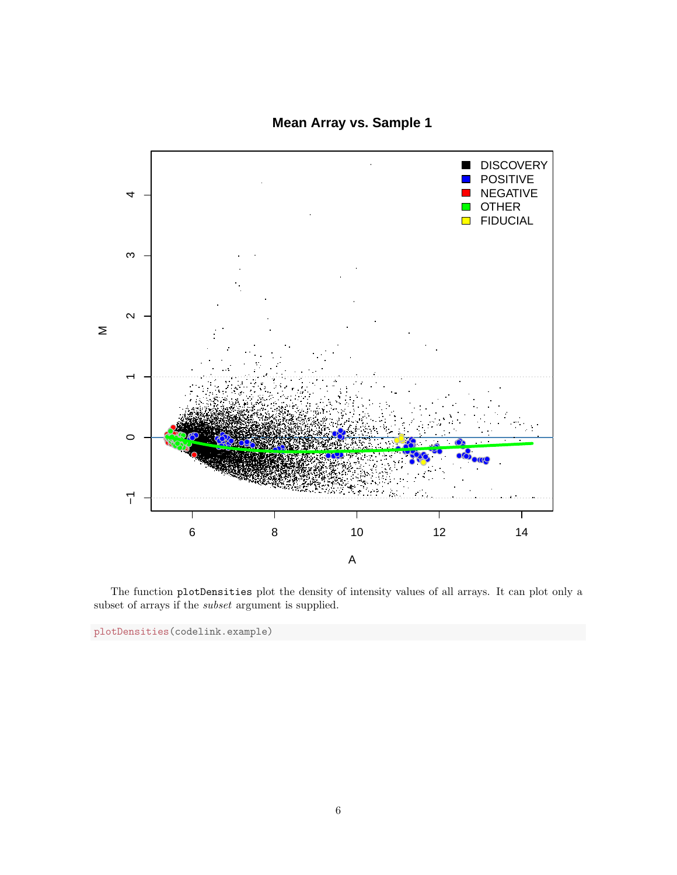**Mean Array vs. Sample 1**



The function plotDensities plot the density of intensity values of all arrays. It can plot only a subset of arrays if the subset argument is supplied.

plotDensities(codelink.example)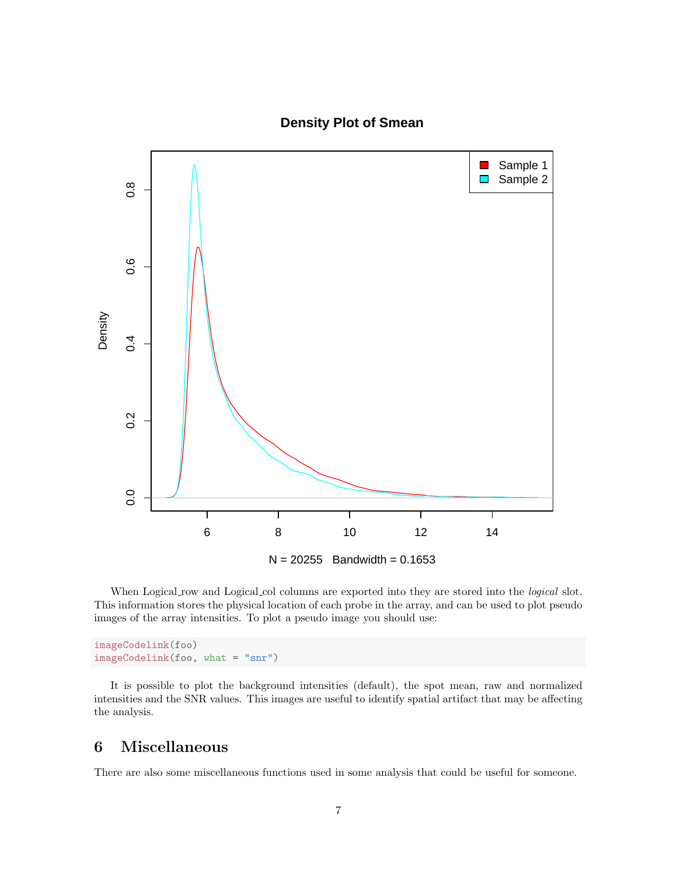

### **Density Plot of Smean**

When Logical row and Logical columns are exported into they are stored into the *logical* slot. This information stores the physical location of each probe in the array, and can be used to plot pseudo images of the array intensities. To plot a pseudo image you should use:

imageCodelink(foo) imageCodelink(foo, what = "snr")

It is possible to plot the background intensities (default), the spot mean, raw and normalized intensities and the SNR values. This images are useful to identify spatial artifact that may be affecting the analysis.

# 6 Miscellaneous

There are also some miscellaneous functions used in some analysis that could be useful for someone.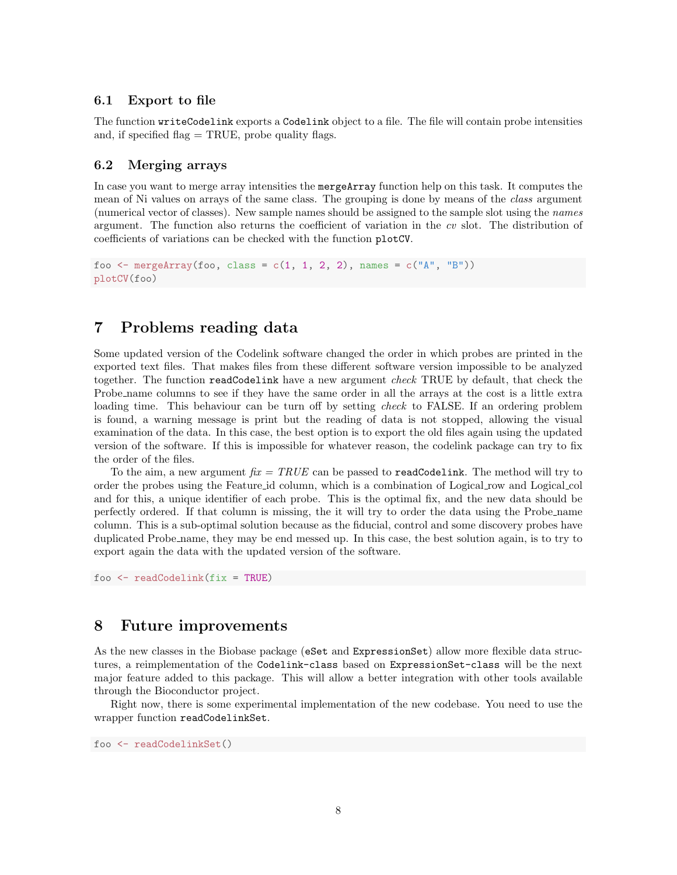#### 6.1 Export to file

The function writeCodelink exports a Codelink object to a file. The file will contain probe intensities and, if specified flag  $=$  TRUE, probe quality flags.

#### 6.2 Merging arrays

In case you want to merge array intensities the mergeArray function help on this task. It computes the mean of Ni values on arrays of the same class. The grouping is done by means of the class argument (numerical vector of classes). New sample names should be assigned to the sample slot using the names argument. The function also returns the coefficient of variation in the cv slot. The distribution of coefficients of variations can be checked with the function plotCV.

```
foo \leq mergeArray(foo, class = c(1, 1, 2, 2), names = c("A", "B"))
plotCV(foo)
```
### 7 Problems reading data

Some updated version of the Codelink software changed the order in which probes are printed in the exported text files. That makes files from these different software version impossible to be analyzed together. The function readCodelink have a new argument *check* TRUE by default, that check the Probe name columns to see if they have the same order in all the arrays at the cost is a little extra loading time. This behaviour can be turn off by setting *check* to FALSE. If an ordering problem is found, a warning message is print but the reading of data is not stopped, allowing the visual examination of the data. In this case, the best option is to export the old files again using the updated version of the software. If this is impossible for whatever reason, the codelink package can try to fix the order of the files.

To the aim, a new argument  $\hat{h}x = \text{TRUE}$  can be passed to readCodelink. The method will try to order the probes using the Feature id column, which is a combination of Logical row and Logical col and for this, a unique identifier of each probe. This is the optimal fix, and the new data should be perfectly ordered. If that column is missing, the it will try to order the data using the Probe name column. This is a sub-optimal solution because as the fiducial, control and some discovery probes have duplicated Probe name, they may be end messed up. In this case, the best solution again, is to try to export again the data with the updated version of the software.

foo <- readCodelink(fix = TRUE)

#### 8 Future improvements

As the new classes in the Biobase package (eSet and ExpressionSet) allow more flexible data structures, a reimplementation of the Codelink-class based on ExpressionSet-class will be the next major feature added to this package. This will allow a better integration with other tools available through the Bioconductor project.

Right now, there is some experimental implementation of the new codebase. You need to use the wrapper function readCodelinkSet.

foo <- readCodelinkSet()